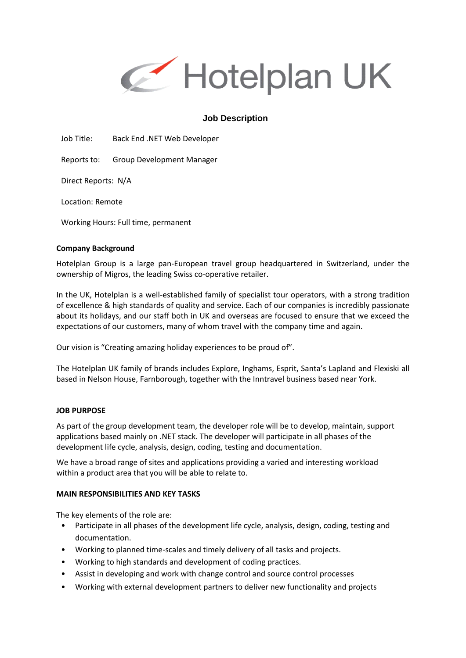

# **Job Description**

Job Title: Back End .NET Web Developer

Reports to: Group Development Manager

Direct Reports: N/A

Location: Remote

Working Hours: Full time, permanent

### **Company Background**

Hotelplan Group is a large pan-European travel group headquartered in Switzerland, under the ownership of Migros, the leading Swiss co-operative retailer.

In the UK, Hotelplan is a well-established family of specialist tour operators, with a strong tradition of excellence & high standards of quality and service. Each of our companies is incredibly passionate about its holidays, and our staff both in UK and overseas are focused to ensure that we exceed the expectations of our customers, many of whom travel with the company time and again.

Our vision is "Creating amazing holiday experiences to be proud of".

The Hotelplan UK family of brands includes Explore, Inghams, Esprit, Santa's Lapland and Flexiski all based in Nelson House, Farnborough, together with the Inntravel business based near York.

#### **JOB PURPOSE**

As part of the group development team, the developer role will be to develop, maintain, support applications based mainly on .NET stack. The developer will participate in all phases of the development life cycle, analysis, design, coding, testing and documentation.

We have a broad range of sites and applications providing a varied and interesting workload within a product area that you will be able to relate to.

## **MAIN RESPONSIBILITIES AND KEY TASKS**

The key elements of the role are:

- Participate in all phases of the development life cycle, analysis, design, coding, testing and documentation.
- Working to planned time-scales and timely delivery of all tasks and projects.
- Working to high standards and development of coding practices.
- Assist in developing and work with change control and source control processes
- Working with external development partners to deliver new functionality and projects